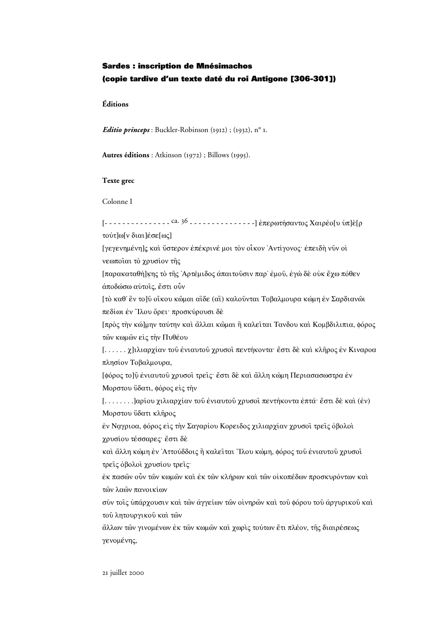# **Sardes : inscription de Mnésimachos (copie tardive d'un texte daté du roi Antigone [306-301])**

## **Éditions**

*Editio princeps* : Buckler-Robinson (1912) ; (1932), n° 1.

**Autres éditions** : Atkinson (1972) ; Billows (1995).

### **Texte grec**

Colonne I

<sup>Γ</sup> - - - - - - - - - - - - - - - - <sup>ca.</sup> 3<sup>6</sup> - - - - - - - - - - - - - - - - <sup>2</sup> έπερωτήσαντος Χαιρέο[υ υπ]ε [ρ τούτ]ω[ν διαι]έσε[ως]

[γεγενημένη]ς και ΰστερον επέκρινέ μοι τον οίκον 'Αντίγονος· επειδή νῦν οι νεωποίαι τὸ χρυσίον της

[παρακαταθή]κης τὸ τῆς Ἀρτέμιδος ἀπαιτοῦσιν παρ' ἐμοῦ, ἐγὼ δὲ οὐκ ἔχω πόθεν άποδώσω αυτοίς, έστι ούν

[τὸ καθ' ềν το]ῦ οἴκου κῶμαι αἴδε (αῒ) καλοῦνται Τοβαλμουρα κώμη ἐν Σαρδιανῶι πεδίωι έν "Ιλου όρει· προσκύρουσι δέ

[πρὸς τὴν κώ]μην ταύτην καὶ ἄλλαι κῶμαι ἣ καλεῖται Τανδου καὶ Κομβδιλιπια, φόρος τών κωμών είς την Πυθέου

 $[... \ldots \chi]$ ιλιαρχίαν τοῦ ἐνιαυτοῦ χρυσοῖ πεντήκοντα· ἔστι δὲ καὶ κλῆρος ἐν Κιναροα πλησίον Τοβαλμουρα,

[φόρος το]ΰ ένιαυτοῦ χρυσοῖ τρεῖς· ἔστι δὲ καὶ ἄλλη κώμη Περιασασωστρα ἐν Μορστου ύδατι, φόρος είς την

 $[ \ldots \ldots]$ αρίου χιλιαρχίαν του ένιαυτου χρυσοι πεντήκοντα έπτά· έστι δέ και (έν) Μορστου ύδατι κλήρος

έν Ναγριοα, φόρος εἰς τὴν Σαγαρίου Κορειδος χιλιαρχίαν χρυσοῖ τρεῖς ὀβολοὶ γρυσίου τέσσαρες έστι δε

και ἄλλη κώμη ἐν Ἀττούδδοις ἣ καλεῖται "Ιλου κώμη, φόρος τοῦ ἐνιαυτοῦ χρυσοῖ τρείς όβολοί χρυσίου τρείς

έκ πασῶν οὖν τῶν κωμῶν καὶ ἐκ τῶν κλήρων καὶ τῶν οἰκοπέδων προσκυρόντων καὶ τών λαών πανοικίων

σύν τοις ύπάρχουσιν και των άγγείων των οίνηρων και του φόρου του άργυρικου και τού λητουργικού και τών

ἄλλων τῶν γινομένων ἐκ τῶν κωμῶν καὶ γωρὶς τούτων ἔτι πλέον, τῆς διαιρέσεως γενομένης,

21 juillet 2000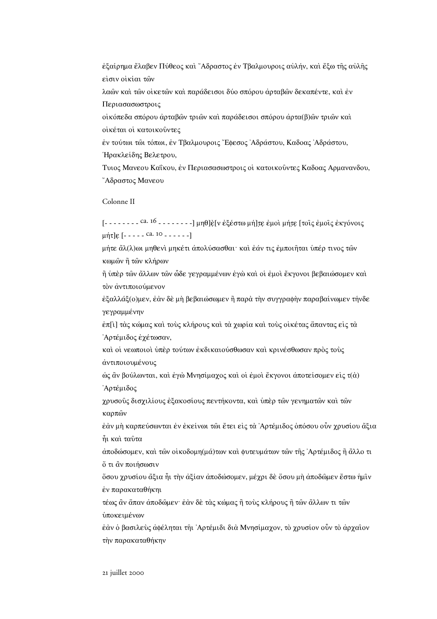eξαίρημα ελαβεν Πύθεος και "Αδραστος εν Τβαλμουροις αυλήν, και εξω της αυλης είσιν οικίαι των

λαών και των οικετών και παράδεισοι δύο σπόρου αρταβών δεκαπέντε, και έν Περιασασωστροις

oiκόπεδα σπόρου αρταβῶν τριῶν και παράδεισοι σπόρου αρτα(β)ῶν τριῶν και οικέται οι κατοικούντες

έν τούτωι τωτι τόπωι, έν Τβαλμουροις "Εφεσος 'Αδράστου, Καδοας 'Αδράστου, Ήρακλείδης Βελετρου,

Τυιος Μανεου Καΐκου, έν Περιασασωστροις οι κατοικούντες Καδοας Αρμανανδου, "Αδραστος Μανεου

### Colonne II

 $1 - 1 - 1 - 1 = 2$ . <sup>ca. 16</sup> -  $1 - 1 - 1$  μηθ $e$ [ν έξέστω μή]τε έμοι μήτε [τοις έμοις έκγόνοις  $\text{unif } [------]$  ca. 10  $---]$ 

μήτε ἄλ(λ)ωι μηθενί μηκέτι άπολύσασθαι· και έάν τις έμποιηται υπέρ τινος τών κωμών ή τών κλήρων

ή υπερ των άλλων των ὦδε γεγραμμένων εγώ και οι εμοι έκγονοι βεβαιώσομεν και τον αντιποιούμενον

eξαλλάξ(o)μεν, εαν δε μη βεβαιώσωμεν η παρα την συγγραφην παραβαίνωμεν τήνδε γεγραμμένην

 $\epsilon\pi$ [ι] τὰς κώμας και τους κλήρους και τα χωρία και τους οικέτας ἄπαντας εις τα Αρτέμιδος έχέτωσαν,

και οι νεωποιοι ύπερ τούτων εκδικαιούσθωσαν και κρινέσθωσαν προς τους αντιποιουμένους

 $\phi$ ς ἂν βούλωνται, και έγὼ Μνησίμαγος και οι έμοι ἔκγονοι αποτείσομεν εις τ(α) `Αρτέμιδος

xρυσούς δισχιλίους έξακοσίους πεντήκοντα, και υπερ των γενηματων και των καρπών

ἐὰν μὴ καρπεύσωνται ἐν ἐκείνωι τῶι ἔτει εἰς τὰ Ἀρτέμιδος ὁπόσου οὖν χρυσίου ἄξια  $\hat{\eta}$ ι καὶ ταῦτα

άποδώσομεν, καὶ τῶν οἰκοδομη(μά)των καὶ φυτευμάτων τῶν τῆς Ἀρτέμιδος ἢ ἄλλο τι ο τι άν ποιήσωσιν

όσου χρυσίου ἄξια ἧι τὴν ἀξίαν ἀποδώσομεν, μέχρι δὲ ὄσου μὴ ἀποδῶμεν ἔστω ἡμῖν έν παρακαταθήκηι

τέως ἂν ἅπαν ἀποδῶμεν· ἐὰν δὲ τὰς κώμας ἢ τοὺς κλήρους ἢ τῶν ἄλλων τι τῶν ύποκειμένων

έὰν ὁ βασιλεὺς ἀφέληται τῆι Ἀρτέμιδι διὰ Μνησίμαγον, τὸ γρυσίον οὖν τὸ ἀργαῖον την παρακαταθήκην

21 juillet 2000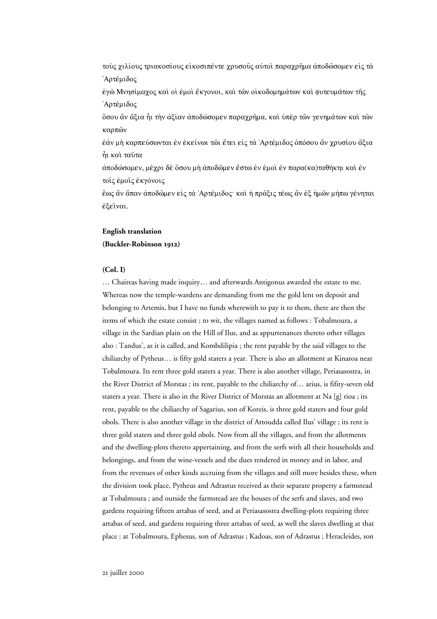τούς χιλίους τριακοσίους είκοσιπέντε χρυσούς αύτοι παραχρήμα άποδώσομεν είς τά 'Αρτέμιδος

έγώ Μνησίμαχος και οι έμοι έκγονοι, και των οικοδομημάτων και φυτευμάτων της 'Αρτέμιδος

όσου ἂν ἄξια ἧι τὴν ἀξίαν ἀποδώσομεν παραχρῆμα, καὶ ὑπὲρ τῶν γενημάτων καὶ τῶν καρπών

 $\dot{\epsilon}$ άν μή καρπεύσωνται έν έκείνωι τῶι ἔτει εἰς τὰ 'Αρτέμιδος ὁπόσου ἂν γρυσίου ἄξια  $\hat{m}$ ι και ταυτα

 $\dot{\alpha}$ ποδώσομεν, μέχρι δε όσου μή άποδῶμεν έστω εν εμοί εν παρα(κα)ταθήκηι καί εν τοις έμοις έκγόνοις

έως ἂν ἄπαν ἀποδῶμεν εἰς τὰ Ἀρτέμιδος· καὶ ἡ πρᾶξις τέως ἂν ἐξ ἡμῶν μήπω γένηται έξειναι.

# **English translation**

### **(Buckler-Robinson 1912)**

### **(Col. I)**

… Chaireas having made inquiry… and afterwards Antigonus awarded the estate to me. Whereas now the temple-wardens are demanding from me the gold lent on deposit and belonging to Artemis, but I have no funds wherewith to pay it to them, there are then the items of which the estate consist ; to wit, the villages named as follows : Tobalmoura, a village in the Sardian plain on the Hill of Ilus, and as appurtenances thereto other villages also : Tandus', as it is called, and Kombdilipia ; the rent payable by the said villages to the chiliarchy of Pytheus… is fifty gold staters a year. There is also an allotment at Kinaroa near Tobalmoura. Its rent three gold staters a year. There is also another village, Periasasostra, in the River District of Morstas ; its rent, payable to the chiliarchy of… arius, is fifity-seven old staters a year. There is also in the River District of Morstas an allotment at Na [g] rioa ; its rent, payable to the chiliarchy of Sagarius, son of Koreis, is three gold staters and four gold obols. There is also another village in the district of Attoudda called Ilus' village ; its rent is three gold staters and three gold obols. Now from all the villages, and from the allotments and the dwelling-plots thereto appertaining, and from the serfs with all their households and belongings, and from the wine-vessels and the dues rendered in money and in labor, and from the revenues of other kinds accruing from the villages and still more besides these, when the division took place, Pytheus and Adrastus received as their separate property a farmstead at Tobalmoura ; and outside the farmstead are the houses of the serfs and slaves, and two gardens requiring fifteen artabas of seed, and at Periasasostra dwelling-plots requiring three artabas of seed, and gardens requiring three artabas of seed, as well the slaves dwelling at that place : at Tobalmoura, Ephesus, son of Adrastus ; Kadoas, son of Adrastus ; Heracleides, son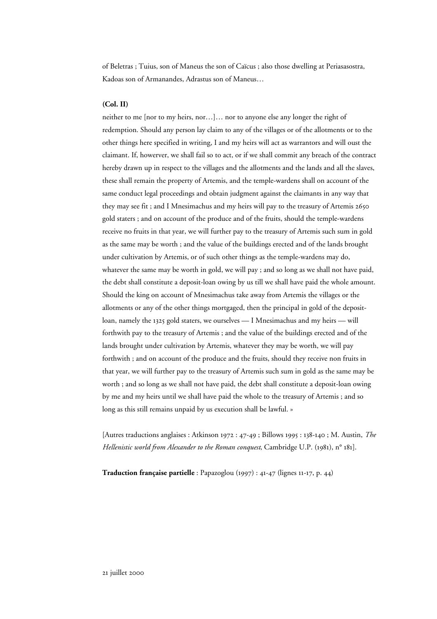of Beletras ; Tuius, son of Maneus the son of Caïcus ; also those dwelling at Periasasostra, Kadoas son of Armanandes, Adrastus son of Maneus…

#### **(Col. II)**

neither to me [nor to my heirs, nor…]… nor to anyone else any longer the right of redemption. Should any person lay claim to any of the villages or of the allotments or to the other things here specified in writing, I and my heirs will act as warrantors and will oust the claimant. If, howerver, we shall fail so to act, or if we shall commit any breach of the contract hereby drawn up in respect to the villages and the allotments and the lands and all the slaves, these shall remain the property of Artemis, and the temple-wardens shall on account of the same conduct legal proceedings and obtain judgment against the claimants in any way that they may see fit ; and I Mnesimachus and my heirs will pay to the treasury of Artemis 2650 gold staters ; and on account of the produce and of the fruits, should the temple-wardens receive no fruits in that year, we will further pay to the treasury of Artemis such sum in gold as the same may be worth ; and the value of the buildings erected and of the lands brought under cultivation by Artemis, or of such other things as the temple-wardens may do, whatever the same may be worth in gold, we will pay ; and so long as we shall not have paid, the debt shall constitute a deposit-loan owing by us till we shall have paid the whole amount. Should the king on account of Mnesimachus take away from Artemis the villages or the allotments or any of the other things mortgaged, then the principal in gold of the depositloan, namely the 1325 gold staters, we ourselves — I Mnesimachus and my heirs — will forthwith pay to the treasury of Artemis ; and the value of the buildings erected and of the lands brought under cultivation by Artemis, whatever they may be worth, we will pay forthwith ; and on account of the produce and the fruits, should they receive non fruits in that year, we will further pay to the treasury of Artemis such sum in gold as the same may be worth ; and so long as we shall not have paid, the debt shall constitute a deposit-loan owing by me and my heirs until we shall have paid the whole to the treasury of Artemis ; and so long as this still remains unpaid by us execution shall be lawful. »

[Autres traductions anglaises : Atkinson 1972 : 47-49 ; Billows 1995 : 138-140 ; M. Austin, *The Hellenistic world from Alexander to the Roman conquest*, Cambridge U.P. (1981), n° 181].

**Traduction française partielle** : Papazoglou (1997) : 41-47 (lignes 11-17, p. 44)